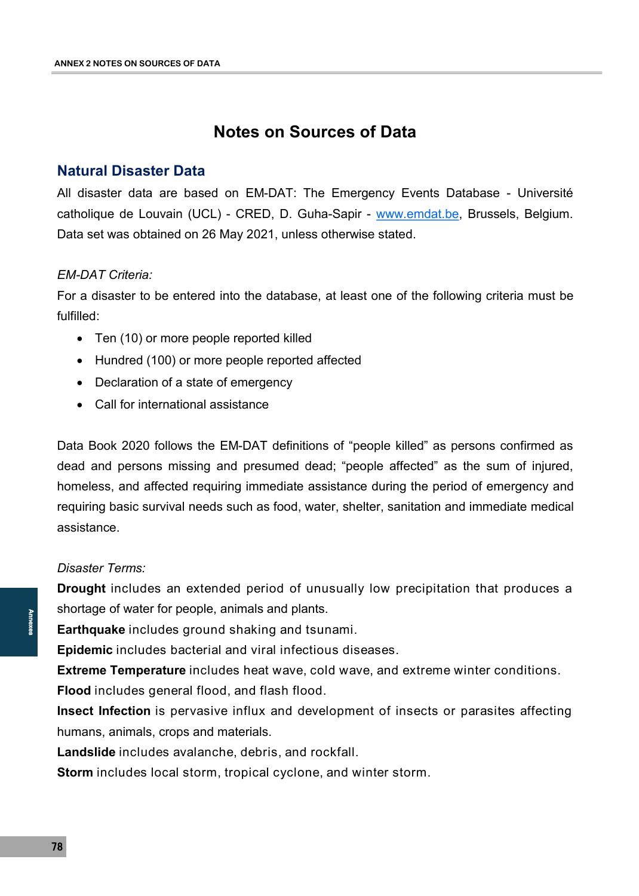# **Notes on Sources of Data**

### **Natural Disaster Data**

All disaster data are based on EM-DAT: The Emergency Events Database - Université catholique de Louvain (UCL) - CRED, D. Guha-Sapir - [www.emdat.be,](http://www.emdat.be) Brussels, Belgium. Data set was obtained on 26 May 2021, unless otherwise stated.

#### *EM-DAT Criteria:*

For a disaster to be entered into the database, at least one of the following criteria must be fulfilled:

- Ten (10) or more people reported killed
- Hundred (100) or more people reported affected
- Declaration of a state of emergency
- Call for international assistance

Data Book 2020 follows the EM-DAT definitions of "people killed" as persons confirmed as dead and persons missing and presumed dead; "people affected" as the sum of injured, homeless, and affected requiring immediate assistance during the period of emergency and requiring basic survival needs such as food, water, shelter, sanitation and immediate medical assistance.

#### *Disaster Terms:*

**Drought** includes an extended period of unusually low precipitation that produces a shortage of water for people, animals and plants.

**Earthquake** includes ground shaking and tsunami.

**Epidemic** includes bacterial and viral infectious diseases.

**Extreme Temperature** includes heat wave, cold wave, and extreme winter conditions.

**Flood** includes general flood, and flash flood.

Annexes<br>- Ei Ei Ei Fi In In La<br>- T8<br>- T8 **Insect Infection** is pervasive influx and development of insects or parasites affecting humans, animals, crops and materials.

**Landslide** includes avalanche, debris, and rockfall.

**Storm** includes local storm, tropical cyclone, and winter storm.